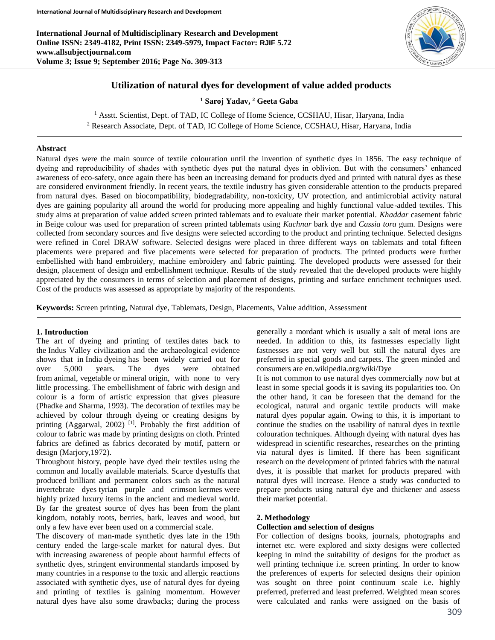**International Journal of Multidisciplinary Research and Development Online ISSN: 2349-4182, Print ISSN: 2349-5979, Impact Factor: RJIF 5.72 www.allsubjectjournal.com Volume 3; Issue 9; September 2016; Page No. 309-313**



# **Utilization of natural dyes for development of value added products**

**<sup>1</sup> Saroj Yadav, <sup>2</sup> Geeta Gaba**

<sup>1</sup> Asstt. Scientist, Dept. of TAD, IC College of Home Science, CCSHAU, Hisar, Haryana, India <sup>2</sup> Research Associate, Dept. of TAD, IC College of Home Science, CCSHAU, Hisar, Haryana, India

## **Abstract**

Natural dyes were the main source of textile colouration until the invention of synthetic dyes in 1856. The easy technique of dyeing and reproducibility of shades with synthetic dyes put the natural dyes in oblivion. But with the consumers' enhanced awareness of eco-safety, once again there has been an increasing demand for products dyed and printed with natural dyes as these are considered environment friendly. In recent years, the textile industry has given considerable attention to the products prepared from natural dyes. Based on biocompatibility, biodegradability, non-toxicity, UV protection, and antimicrobial activity natural dyes are gaining popularity all around the world for producing more appealing and highly functional value-added textiles. This study aims at preparation of value added screen printed tablemats and to evaluate their market potential. *Khaddar* casement fabric in Beige colour was used for preparation of screen printed tablemats using *Kachnar* bark dye and *Cassia tora* gum. Designs were collected from secondary sources and five designs were selected according to the product and printing technique. Selected designs were refined in Corel DRAW software. Selected designs were placed in three different ways on tablemats and total fifteen placements were prepared and five placements were selected for preparation of products. The printed products were further embellished with hand embroidery, machine embroidery and fabric painting. The developed products were assessed for their design, placement of design and embellishment technique. Results of the study revealed that the developed products were highly appreciated by the consumers in terms of selection and placement of designs, printing and surface enrichment techniques used. Cost of the products was assessed as appropriate by majority of the respondents.

**Keywords:** Screen printing, Natural dye, Tablemats, Design, Placements, Value addition, Assessment

### **1. Introduction**

The art of dyeing and printing of textiles dates back to the Indus Valley civilization and the archaeological evidence shows that in India dyeing has been widely carried out for over 5,000 years. The dyes were obtained from animal, vegetable or mineral origin, with none to very little processing. The embellishment of fabric with design and colour is a form of artistic expression that gives pleasure (Phadke and Sharma, 1993). The decoration of textiles may be achieved by colour through dyeing or creating designs by printing (Aggarwal, 2002)<sup>[1]</sup>. Probably the first addition of colour to fabric was made by printing designs on cloth. Printed fabrics are defined as fabrics decorated by motif, pattern or design (Marjory,1972).

Throughout history, people have dyed their textiles using the common and locally available materials. Scarce dyestuffs that produced brilliant and permanent colors such as the natural invertebrate dyes tyrian purple and crimson kermes were highly prized luxury items in the ancient and medieval world. By far the greatest source of dyes has been from the plant kingdom, notably roots, berries, bark, leaves and wood, but only a few have ever been used on a commercial scale.

The discovery of man-made synthetic dyes late in the 19th century ended the large-scale market for natural dyes. But with increasing awareness of people about harmful effects of synthetic dyes, stringent environmental standards imposed by many countries in a response to the toxic and allergic reactions associated with synthetic dyes, use of natural dyes for dyeing and printing of textiles is gaining momentum. However natural dyes have also some drawbacks; during the process

generally a mordant which is usually a salt of metal ions are needed. In addition to this, its fastnesses especially light fastnesses are not very well but still the natural dyes are preferred in special goods and carpets. The green minded and consumers are en.wikipedia.org/wiki/Dye

It is not common to use natural dyes commercially now but at least in some special goods it is saving its popularities too. On the other hand, it can be foreseen that the demand for the ecological, natural and organic textile products will make natural dyes popular again. Owing to this, it is important to continue the studies on the usability of natural dyes in textile colouration techniques. Although dyeing with natural dyes has widespread in scientific researches, researches on the printing via natural dyes is limited. If there has been significant research on the development of printed fabrics with the natural dyes, it is possible that market for products prepared with natural dyes will increase. Hence a study was conducted to prepare products using natural dye and thickener and assess their market potential.

#### **2. Methodology**

### **Collection and selection of designs**

For collection of designs books, journals, photographs and internet etc. were explored and sixty designs were collected keeping in mind the suitability of designs for the product as well printing technique i.e. screen printing. In order to know the preferences of experts for selected designs their opinion was sought on three point continuum scale i.e. highly preferred, preferred and least preferred. Weighted mean scores were calculated and ranks were assigned on the basis of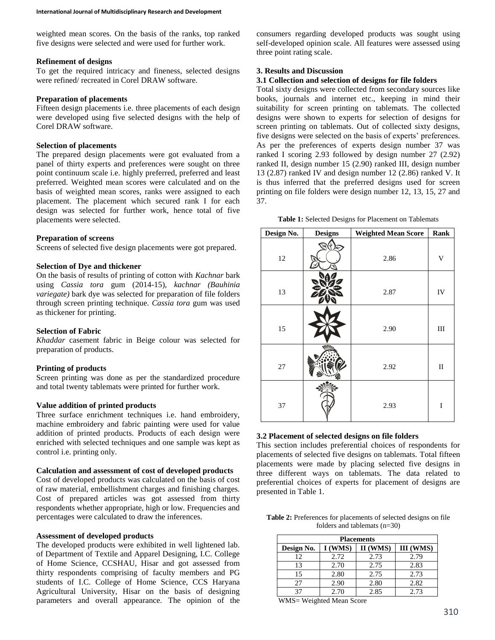weighted mean scores. On the basis of the ranks, top ranked five designs were selected and were used for further work.

#### **Refinement of designs**

To get the required intricacy and fineness, selected designs were refined/ recreated in Corel DRAW software.

## **Preparation of placements**

Fifteen design placements i.e. three placements of each design were developed using five selected designs with the help of Corel DRAW software.

#### **Selection of placements**

The prepared design placements were got evaluated from a panel of thirty experts and preferences were sought on three point continuum scale i.e. highly preferred, preferred and least preferred. Weighted mean scores were calculated and on the basis of weighted mean scores, ranks were assigned to each placement. The placement which secured rank I for each design was selected for further work, hence total of five placements were selected.

#### **Preparation of screens**

Screens of selected five design placements were got prepared.

## **Selection of Dye and thickener**

On the basis of results of printing of cotton with *Kachnar* bark using *Cassia tora* gum (2014-15)*, kachnar (Bauhinia variegate)* bark dye was selected for preparation of file folders through screen printing technique. *Cassia tora* gum was used as thickener for printing.

## **Selection of Fabric**

*Khaddar* casement fabric in Beige colour was selected for preparation of products.

## **Printing of products**

Screen printing was done as per the standardized procedure and total twenty tablemats were printed for further work.

# **Value addition of printed products**

Three surface enrichment techniques i.e. hand embroidery, machine embroidery and fabric painting were used for value addition of printed products. Products of each design were enriched with selected techniques and one sample was kept as control i.e. printing only.

## **Calculation and assessment of cost of developed products**

Cost of developed products was calculated on the basis of cost of raw material, embellishment charges and finishing charges. Cost of prepared articles was got assessed from thirty respondents whether appropriate, high or low. Frequencies and percentages were calculated to draw the inferences.

#### **Assessment of developed products**

The developed products were exhibited in well lightened lab. of Department of Textile and Apparel Designing, I.C. College of Home Science, CCSHAU, Hisar and got assessed from thirty respondents comprising of faculty members and PG students of I.C. College of Home Science, CCS Haryana Agricultural University, Hisar on the basis of designing parameters and overall appearance. The opinion of the

consumers regarding developed products was sought using self-developed opinion scale. All features were assessed using three point rating scale.

## **3. Results and Discussion**

# **3.1 Collection and selection of designs for file folders**

Total sixty designs were collected from secondary sources like books, journals and internet etc., keeping in mind their suitability for screen printing on tablemats. The collected designs were shown to experts for selection of designs for screen printing on tablemats. Out of collected sixty designs, five designs were selected on the basis of experts' preferences. As per the preferences of experts design number 37 was ranked I scoring 2.93 followed by design number 27 (2.92) ranked II, design number 15 (2.90) ranked III, design number 13 (2.87) ranked IV and design number 12 (2.86) ranked V. It is thus inferred that the preferred designs used for screen printing on file folders were design number 12, 13, 15, 27 and 37.

**Table 1:** Selected Designs for Placement on Tablemats

| Design No. | <b>Designs</b> | <b>Weighted Mean Score</b> | Rank                      |
|------------|----------------|----------------------------|---------------------------|
| 12         |                | 2.86                       | $\boldsymbol{\mathrm{V}}$ |
| 13         |                | 2.87                       | ${\rm IV}$                |
| 15         |                | 2.90                       | $\rm III$                 |
| 27         |                | 2.92                       | $\rm _{II}$               |
| 37         |                | 2.93                       | I                         |

### **3.2 Placement of selected designs on file folders**

This section includes preferential choices of respondents for placements of selected five designs on tablemats. Total fifteen placements were made by placing selected five designs in three different ways on tablemats. The data related to preferential choices of experts for placement of designs are presented in Table 1.

**Table 2:** Preferences for placements of selected designs on file folders and tablemats (n=30)

| <b>Placements</b> |         |          |           |  |  |
|-------------------|---------|----------|-----------|--|--|
| Design No.        | I (WMS) | II (WMS) | III (WMS) |  |  |
| 12                | 2.72    | 2.73     | 2.79      |  |  |
| 13                | 2.70    | 2.75     | 2.83      |  |  |
| 15                | 2.80    | 2.75     | 2.73      |  |  |
| 27                | 2.90    | 2.80     | 2.82      |  |  |
| 37                | 2.70    | 2.85     | 2.73      |  |  |

WMS= Weighted Mean Score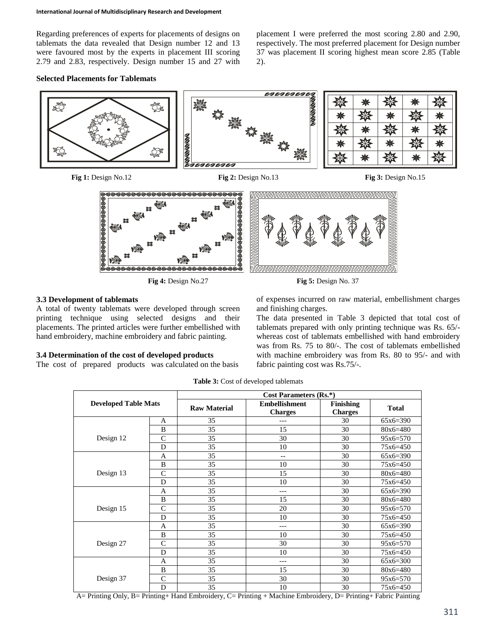Regarding preferences of experts for placements of designs on tablemats the data revealed that Design number 12 and 13 were favoured most by the experts in placement III scoring 2.79 and 2.83, respectively. Design number 15 and 27 with

**Selected Placements for Tablemats**

placement I were preferred the most scoring 2.80 and 2.90, respectively. The most preferred placement for Design number 37 was placement II scoring highest mean score 2.85 (Table 2).



# **3.3 Development of tablemats**

A total of twenty tablemats were developed through screen printing technique using selected designs and their placements. The printed articles were further embellished with hand embroidery, machine embroidery and fabric painting.

# **3.4 Determination of the cost of developed products**

The cost of prepared products was calculated on the basis

of expenses incurred on raw material, embellishment charges and finishing charges.

The data presented in Table 3 depicted that total cost of tablemats prepared with only printing technique was Rs. 65/ whereas cost of tablemats embellished with hand embroidery was from Rs. 75 to 80/-. The cost of tablemats embellished with machine embroidery was from Rs. 80 to 95/- and with fabric painting cost was Rs.75/-.

| <b>Developed Table Mats</b> |                | Cost Parameters (Rs.*) |                                        |                                    |              |  |  |
|-----------------------------|----------------|------------------------|----------------------------------------|------------------------------------|--------------|--|--|
|                             |                | <b>Raw Material</b>    | <b>Embellishment</b><br><b>Charges</b> | <b>Finishing</b><br><b>Charges</b> | <b>Total</b> |  |  |
|                             | A              | 35                     |                                        | 30                                 | $65x6=390$   |  |  |
|                             | B              | 35                     | 15                                     | 30                                 | $80x6=480$   |  |  |
| Design 12                   | $\overline{C}$ | 35                     | 30                                     | 30                                 | $95x6=570$   |  |  |
|                             | D              | 35                     | 10                                     | 30                                 | 75x6=450     |  |  |
|                             | A              | 35                     | $\qquad \qquad -$                      | 30                                 | $65x6=390$   |  |  |
|                             | B              | 35                     | 10                                     | 30                                 | 75x6=450     |  |  |
| Design 13                   | $\mathsf{C}$   | 35                     | 15                                     | 30                                 | $80x6=480$   |  |  |
|                             | D              | 35                     | 10                                     | 30                                 | 75x6=450     |  |  |
|                             | A              | 35                     | $---$                                  | 30                                 | $65x6=390$   |  |  |
|                             | B              | 35                     | 15                                     | 30                                 | $80x6=480$   |  |  |
| Design 15                   | $\mathcal{C}$  | 35                     | 20                                     | 30                                 | $95x6=570$   |  |  |
|                             | D              | 35                     | 10                                     | 30                                 | 75x6=450     |  |  |
|                             | A              | 35                     | ---                                    | 30                                 | $65x6=390$   |  |  |
|                             | B              | 35                     | 10                                     | 30                                 | 75x6=450     |  |  |
| Design 27                   | $\overline{C}$ | 35                     | 30                                     | 30                                 | $95x6=570$   |  |  |
|                             | D              | 35                     | 10                                     | 30                                 | 75x6=450     |  |  |
|                             | A              | 35                     | ---                                    | 30                                 | $65x6=300$   |  |  |
|                             | B              | 35                     | 15                                     | 30                                 | $80x6=480$   |  |  |
| Design 37                   | $\mathsf{C}$   | 35                     | 30                                     | 30                                 | $95x6=570$   |  |  |
|                             | D              | 35                     | 10                                     | 30                                 | 75x6=450     |  |  |

**Table 3:** Cost of developed tablemats

A= Printing Only, B= Printing+ Hand Embroidery, C= Printing + Machine Embroidery, D= Printing+ Fabric Painting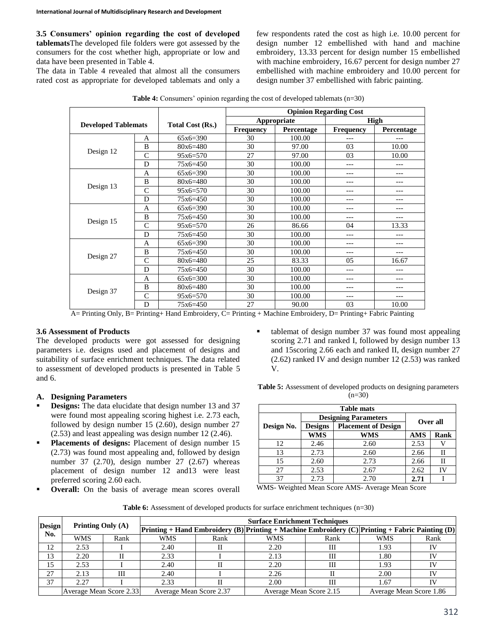**3.5 Consumers' opinion regarding the cost of developed tablemats**The developed file folders were got assessed by the consumers for the cost whether high, appropriate or low and data have been presented in Table 4.

The data in Table 4 revealed that almost all the consumers rated cost as appropriate for developed tablemats and only a few respondents rated the cost as high i.e. 10.00 percent for design number 12 embellished with hand and machine embroidery, 13.33 percent for design number 15 embellished with machine embroidery, 16.67 percent for design number 27 embellished with machine embroidery and 10.00 percent for design number 37 embellished with fabric painting.

| <b>Table 4:</b> Consumers' opinion regarding the cost of developed tablemats $(n=30)$ |  |  |  |
|---------------------------------------------------------------------------------------|--|--|--|
|                                                                                       |  |  |  |

|                            |               |                  |                  |             | <b>Opinion Regarding Cost</b> |            |  |
|----------------------------|---------------|------------------|------------------|-------------|-------------------------------|------------|--|
| <b>Developed Tablemats</b> |               |                  |                  | Appropriate | <b>High</b>                   |            |  |
|                            |               | Total Cost (Rs.) | <b>Frequency</b> | Percentage  | <b>Frequency</b>              | Percentage |  |
|                            | A             | $65x6=390$       | 30               | 100.00      |                               | ---        |  |
|                            | B             | $80x6=480$       | 30               | 97.00       | 03                            | 10.00      |  |
| Design 12<br>Design 13     | $\mathcal{C}$ | $95x6=570$       | 27               | 97.00       | 03                            | 10.00      |  |
|                            | D             | $75x6=450$       | 30               | 100.00      | ---                           | ---        |  |
|                            | A             | $65x6=390$       | 30               | 100.00      | ---                           | ---        |  |
|                            | B             | $80x6=480$       | 30               | 100.00      | ---                           | ---        |  |
|                            | C             | $95x6=570$       | 30               | 100.00      | ---                           | ---        |  |
|                            | D             | 75x6=450         | 30               | 100.00      | ---                           | ---        |  |
|                            | A             | $65x6=390$       | 30               | 100.00      |                               | ---        |  |
|                            | B             | $75x6=450$       | 30               | 100.00      | ---                           | ---        |  |
| Design 15                  | $\mathsf{C}$  | $95x6=570$       | 26               | 86.66       | 04                            | 13.33      |  |
|                            | D             | $75x6=450$       | 30               | 100.00      | ---                           | ---        |  |
|                            | A             | $65x6=390$       | 30               | 100.00      |                               | ---        |  |
|                            | B             | $75x6=450$       | 30               | 100.00      | ---                           | ---        |  |
| Design 27                  | C             | $80x6=480$       | 25               | 83.33       | 05                            | 16.67      |  |
|                            | D             | 75x6=450         | 30               | 100.00      | ---                           | ---        |  |
| Design 37                  | A             | $65x6=300$       | 30               | 100.00      |                               | ---        |  |
|                            | B             | $80x6=480$       | 30               | 100.00      | ---                           | ---        |  |
|                            | $\mathsf{C}$  | $95x6=570$       | 30               | 100.00      | ---                           | ---        |  |
|                            | D             | $75x6=450$       | 27               | 90.00       | 03                            | 10.00      |  |

A= Printing Only, B= Printing+ Hand Embroidery, C= Printing + Machine Embroidery, D= Printing+ Fabric Painting

### **3.6 Assessment of Products**

The developed products were got assessed for designing parameters i.e. designs used and placement of designs and suitability of surface enrichment techniques. The data related to assessment of developed products is presented in Table 5 and 6.

### **A. Designing Parameters**

- **Designs:** The data elucidate that design number 13 and 37 were found most appealing scoring highest i.e. 2.73 each, followed by design number 15 (2.60), design number 27 (2.53) and least appealing was design number 12 (2.46).
- **Placements of designs:** Placement of design number 15 (2.73) was found most appealing and, followed by design number 37 (2.70), design number 27 (2.67) whereas placement of design number 12 and13 were least preferred scoring 2.60 each.
- **Overall:** On the basis of average mean scores overall

 tablemat of design number 37 was found most appealing scoring 2.71 and ranked I, followed by design number 13 and 15scoring 2.66 each and ranked II, design number 27 (2.62) ranked IV and design number 12 (2.53) was ranked V.

| <b>Table 5:</b> Assessment of developed products on designing parameters |
|--------------------------------------------------------------------------|
| $(n=30)$                                                                 |

| <b>Table mats</b>           |                |                            |            |             |  |  |
|-----------------------------|----------------|----------------------------|------------|-------------|--|--|
| <b>Designing Parameters</b> |                |                            |            |             |  |  |
| Design No.                  | <b>Designs</b> | <b>Placement of Design</b> | Over all   |             |  |  |
|                             | <b>WMS</b>     | <b>WMS</b>                 | <b>AMS</b> | <b>Rank</b> |  |  |
| 12                          | 2.46           | 2.60                       | 2.53       |             |  |  |
| 13                          | 2.73           | 2.60                       | 2.66       | Н           |  |  |
| 15                          | 2.60           | 2.73                       | 2.66       | Н           |  |  |
| 27                          | 2.53           | 2.67                       | 2.62       |             |  |  |
| 37                          | 2.73           | 2.70                       | 2.71       |             |  |  |

WMS- Weighted Mean Score AMS- Average Mean Score

**Table 6:** Assessment of developed products for surface enrichment techniques (n=30)

| <b>Design</b> |                         |      | <b>Surface Enrichment Techniques</b> |      |                                                                                                 |      |                         |      |
|---------------|-------------------------|------|--------------------------------------|------|-------------------------------------------------------------------------------------------------|------|-------------------------|------|
| No.           | Printing Only (A)       |      |                                      |      | Printing + Hand Embroidery (B) Printing + Machine Embroidery (C) Printing + Fabric Painting (D) |      |                         |      |
|               | WMS                     | Rank | <b>WMS</b>                           | Rank | <b>WMS</b>                                                                                      | Rank | <b>WMS</b>              | Rank |
| 12            | 2.53                    |      | 2.40                                 |      | 2.20                                                                                            | Ш    | 1.93                    | IV   |
| 13            | 2.20                    |      | 2.33                                 |      | 2.13                                                                                            | Ш    | 1.80                    | IV   |
| 15            | 2.53                    |      | 2.40                                 |      | 2.20                                                                                            | Ш    | 1.93                    | TV   |
| 27            | 2.13                    | Ш    | 2.40                                 |      | 2.26                                                                                            |      | 2.00                    |      |
| 37            | 2.27                    |      | 2.33                                 |      | 2.00                                                                                            | Ш    | 1.67                    |      |
|               | Average Mean Score 2.33 |      | Average Mean Score 2.37              |      | Average Mean Score 2.15                                                                         |      | Average Mean Score 1.86 |      |